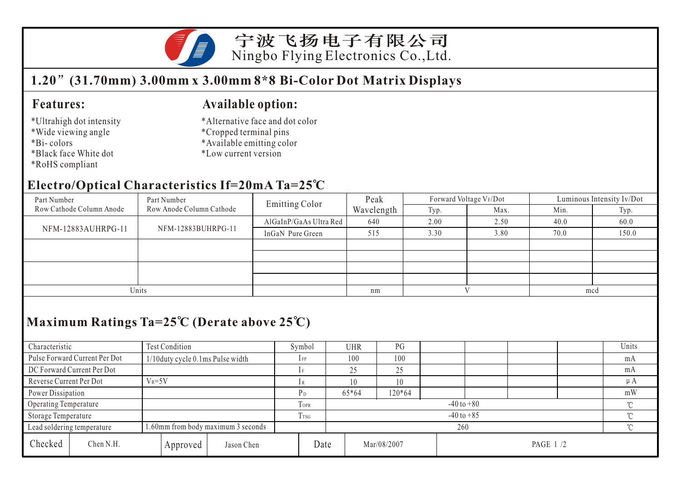

宁波飞扬电子有限公司 Ningbo Flying Electronics Co.,Ltd.

## **1.20 (31.70mm) 3.00mm x 3.00mm 8\*8 Bi-Color Dot Matrix Displays**

#### **Features:**

- \*Ultrahigh dot intensity
- \*Wide viewing angle
- \*Bi- colors
- \*Black face White dot
- \*RoHS compliant

#### **Available option:**

- \*Alternative face and dot color
- \*Cropped terminal pins
- \*Available emitting color
- \*Low current version

### **Electro/Optical Characteristics If=20mA Ta=25 C**

| Part Number              | Part Number              | <b>Emitting Color</b>  | Peak       |      | Forward Voltage VF/Dot | Luminous Intensity Iv/Dot |       |  |
|--------------------------|--------------------------|------------------------|------------|------|------------------------|---------------------------|-------|--|
| Row Cathode Column Anode | Row Anode Column Cathode |                        | Wavelength | Typ. | Max.                   | Min.                      | Typ.  |  |
| NFM-12883AUHRPG-11       |                          | AlGaInP/GaAs Ultra Red | 640        | 2.00 | 2.50                   | 40.0                      | 60.0  |  |
|                          | NFM-12883BUHRPG-11       | InGaN Pure Green       | 515        | 3.30 | 3.80                   | 70.0                      | 150.0 |  |
|                          |                          |                        |            |      |                        |                           |       |  |
|                          |                          |                        |            |      |                        |                           |       |  |
|                          |                          |                        |            |      |                        |                           |       |  |
|                          |                          |                        |            |      |                        |                           |       |  |
| Units                    |                          | nm                     |            |      | mcd                    |                           |       |  |

## **Maximum Ratings Ta=25 C (Derate above 25 C)**

| Characteristic                                                   |                               | Test Condition                   |                |                | Symbol  |     | <b>UHR</b>              | PG |        |  |  |  |         | Units |
|------------------------------------------------------------------|-------------------------------|----------------------------------|----------------|----------------|---------|-----|-------------------------|----|--------|--|--|--|---------|-------|
|                                                                  | Pulse Forward Current Per Dot | 1/10duty cycle 0.1ms Pulse width |                | $1$ FP         |         | 100 | 100                     |    |        |  |  |  | mA      |       |
| DC Forward Current Per Dot                                       |                               |                                  |                |                |         |     | 25                      | 25 |        |  |  |  |         | mA    |
| Reverse Current Per Dot                                          |                               | $V_R = 5V$                       |                |                |         | 10  | 10                      |    |        |  |  |  | $\mu A$ |       |
| Power Dissipation                                                |                               |                                  |                |                | $65*64$ |     | 120*64                  |    |        |  |  |  | mW      |       |
| Operating Temperature                                            |                               |                                  | <b>TOPR</b>    | $-40$ to $+80$ |         |     |                         |    |        |  |  |  |         |       |
| Storage Temperature                                              |                               | $1$ TSG                          | $-40$ to $+85$ |                |         |     |                         |    | $\sim$ |  |  |  |         |       |
| 1.60mm from body maximum 3 seconds<br>Lead soldering temperature |                               |                                  |                | 260            |         |     |                         |    |        |  |  |  |         |       |
| Checked                                                          | Chen N.H.                     |                                  | Approved       | Jason Chen     | Date    |     | Mar/08/2007<br>PAGE 1/2 |    |        |  |  |  |         |       |